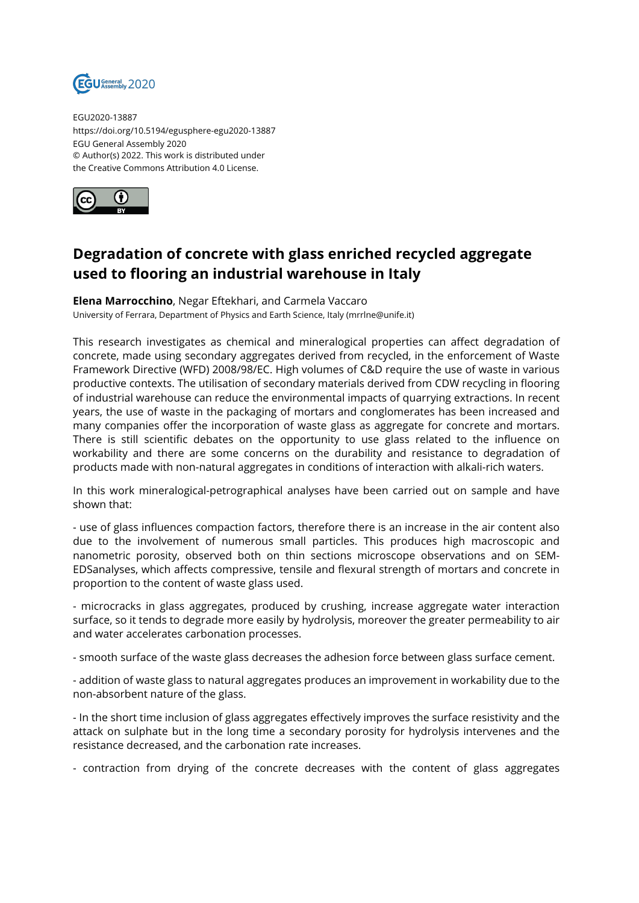

EGU2020-13887 https://doi.org/10.5194/egusphere-egu2020-13887 EGU General Assembly 2020 © Author(s) 2022. This work is distributed under the Creative Commons Attribution 4.0 License.



## **Degradation of concrete with glass enriched recycled aggregate used to flooring an industrial warehouse in Italy**

**Elena Marrocchino**, Negar Eftekhari, and Carmela Vaccaro University of Ferrara, Department of Physics and Earth Science, Italy (mrrlne@unife.it)

This research investigates as chemical and mineralogical properties can affect degradation of concrete, made using secondary aggregates derived from recycled, in the enforcement of Waste Framework Directive (WFD) 2008/98/EC. High volumes of C&D require the use of waste in various productive contexts. The utilisation of secondary materials derived from CDW recycling in flooring of industrial warehouse can reduce the environmental impacts of quarrying extractions. In recent years, the use of waste in the packaging of mortars and conglomerates has been increased and many companies offer the incorporation of waste glass as aggregate for concrete and mortars. There is still scientific debates on the opportunity to use glass related to the influence on workability and there are some concerns on the durability and resistance to degradation of products made with non-natural aggregates in conditions of interaction with alkali-rich waters.

In this work mineralogical-petrographical analyses have been carried out on sample and have shown that:

- use of glass influences compaction factors, therefore there is an increase in the air content also due to the involvement of numerous small particles. This produces high macroscopic and nanometric porosity, observed both on thin sections microscope observations and on SEM-EDSanalyses, which affects compressive, tensile and flexural strength of mortars and concrete in proportion to the content of waste glass used.

- microcracks in glass aggregates, produced by crushing, increase aggregate water interaction surface, so it tends to degrade more easily by hydrolysis, moreover the greater permeability to air and water accelerates carbonation processes.

- smooth surface of the waste glass decreases the adhesion force between glass surface cement.

- addition of waste glass to natural aggregates produces an improvement in workability due to the non-absorbent nature of the glass.

- In the short time inclusion of glass aggregates effectively improves the surface resistivity and the attack on sulphate but in the long time a secondary porosity for hydrolysis intervenes and the resistance decreased, and the carbonation rate increases.

- contraction from drying of the concrete decreases with the content of glass aggregates